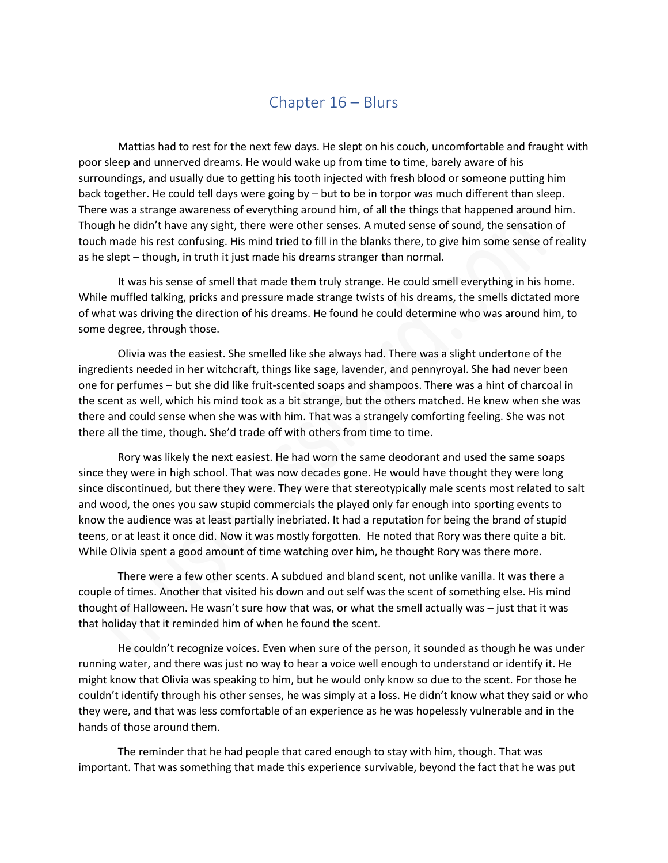## Chapter 16 – Blurs

Mattias had to rest for the next few days. He slept on his couch, uncomfortable and fraught with poor sleep and unnerved dreams. He would wake up from time to time, barely aware of his surroundings, and usually due to getting his tooth injected with fresh blood or someone putting him back together. He could tell days were going by – but to be in torpor was much different than sleep. There was a strange awareness of everything around him, of all the things that happened around him. Though he didn't have any sight, there were other senses. A muted sense of sound, the sensation of touch made his rest confusing. His mind tried to fill in the blanks there, to give him some sense of reality as he slept – though, in truth it just made his dreams stranger than normal.

It was his sense of smell that made them truly strange. He could smell everything in his home. While muffled talking, pricks and pressure made strange twists of his dreams, the smells dictated more of what was driving the direction of his dreams. He found he could determine who was around him, to some degree, through those.

Olivia was the easiest. She smelled like she always had. There was a slight undertone of the ingredients needed in her witchcraft, things like sage, lavender, and pennyroyal. She had never been one for perfumes – but she did like fruit-scented soaps and shampoos. There was a hint of charcoal in the scent as well, which his mind took as a bit strange, but the others matched. He knew when she was there and could sense when she was with him. That was a strangely comforting feeling. She was not there all the time, though. She'd trade off with others from time to time.

Rory was likely the next easiest. He had worn the same deodorant and used the same soaps since they were in high school. That was now decades gone. He would have thought they were long since discontinued, but there they were. They were that stereotypically male scents most related to salt and wood, the ones you saw stupid commercials the played only far enough into sporting events to know the audience was at least partially inebriated. It had a reputation for being the brand of stupid teens, or at least it once did. Now it was mostly forgotten. He noted that Rory was there quite a bit. While Olivia spent a good amount of time watching over him, he thought Rory was there more.

There were a few other scents. A subdued and bland scent, not unlike vanilla. It was there a couple of times. Another that visited his down and out self was the scent of something else. His mind thought of Halloween. He wasn't sure how that was, or what the smell actually was – just that it was that holiday that it reminded him of when he found the scent.

He couldn't recognize voices. Even when sure of the person, it sounded as though he was under running water, and there was just no way to hear a voice well enough to understand or identify it. He might know that Olivia was speaking to him, but he would only know so due to the scent. For those he couldn't identify through his other senses, he was simply at a loss. He didn't know what they said or who they were, and that was less comfortable of an experience as he was hopelessly vulnerable and in the hands of those around them.

The reminder that he had people that cared enough to stay with him, though. That was important. That was something that made this experience survivable, beyond the fact that he was put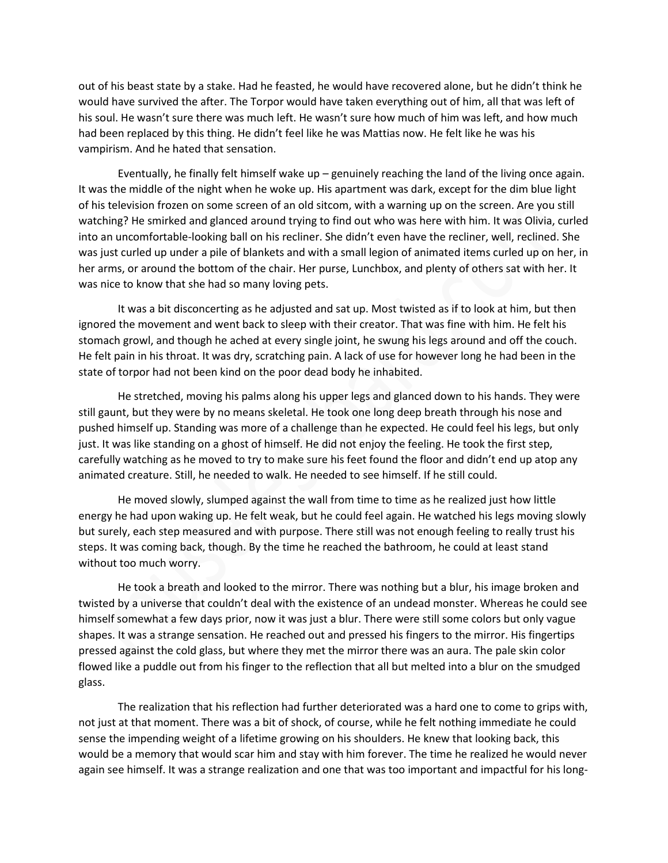out of his beast state by a stake. Had he feasted, he would have recovered alone, but he didn't think he would have survived the after. The Torpor would have taken everything out of him, all that was left of his soul. He wasn't sure there was much left. He wasn't sure how much of him was left, and how much had been replaced by this thing. He didn't feel like he was Mattias now. He felt like he was his vampirism. And he hated that sensation.

Eventually, he finally felt himself wake up – genuinely reaching the land of the living once again. It was the middle of the night when he woke up. His apartment was dark, except for the dim blue light of his television frozen on some screen of an old sitcom, with a warning up on the screen. Are you still watching? He smirked and glanced around trying to find out who was here with him. It was Olivia, curled into an uncomfortable-looking ball on his recliner. She didn't even have the recliner, well, reclined. She was just curled up under a pile of blankets and with a small legion of animated items curled up on her, in her arms, or around the bottom of the chair. Her purse, Lunchbox, and plenty of others sat with her. It was nice to know that she had so many loving pets.

It was a bit disconcerting as he adjusted and sat up. Most twisted as if to look at him, but then ignored the movement and went back to sleep with their creator. That was fine with him. He felt his stomach growl, and though he ached at every single joint, he swung his legs around and off the couch. He felt pain in his throat. It was dry, scratching pain. A lack of use for however long he had been in the state of torpor had not been kind on the poor dead body he inhabited.

He stretched, moving his palms along his upper legs and glanced down to his hands. They were still gaunt, but they were by no means skeletal. He took one long deep breath through his nose and pushed himself up. Standing was more of a challenge than he expected. He could feel his legs, but only just. It was like standing on a ghost of himself. He did not enjoy the feeling. He took the first step, carefully watching as he moved to try to make sure his feet found the floor and didn't end up atop any animated creature. Still, he needed to walk. He needed to see himself. If he still could.

He moved slowly, slumped against the wall from time to time as he realized just how little energy he had upon waking up. He felt weak, but he could feel again. He watched his legs moving slowly but surely, each step measured and with purpose. There still was not enough feeling to really trust his steps. It was coming back, though. By the time he reached the bathroom, he could at least stand without too much worry.

He took a breath and looked to the mirror. There was nothing but a blur, his image broken and twisted by a universe that couldn't deal with the existence of an undead monster. Whereas he could see himself somewhat a few days prior, now it was just a blur. There were still some colors but only vague shapes. It was a strange sensation. He reached out and pressed his fingers to the mirror. His fingertips pressed against the cold glass, but where they met the mirror there was an aura. The pale skin color flowed like a puddle out from his finger to the reflection that all but melted into a blur on the smudged glass.

The realization that his reflection had further deteriorated was a hard one to come to grips with, not just at that moment. There was a bit of shock, of course, while he felt nothing immediate he could sense the impending weight of a lifetime growing on his shoulders. He knew that looking back, this would be a memory that would scar him and stay with him forever. The time he realized he would never again see himself. It was a strange realization and one that was too important and impactful for his long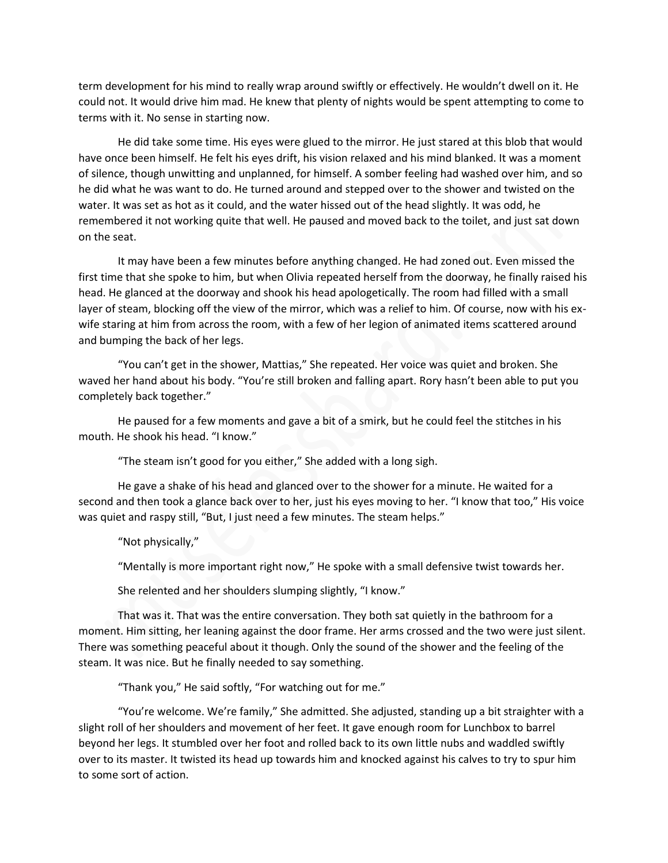term development for his mind to really wrap around swiftly or effectively. He wouldn't dwell on it. He could not. It would drive him mad. He knew that plenty of nights would be spent attempting to come to terms with it. No sense in starting now.

He did take some time. His eyes were glued to the mirror. He just stared at this blob that would have once been himself. He felt his eyes drift, his vision relaxed and his mind blanked. It was a moment of silence, though unwitting and unplanned, for himself. A somber feeling had washed over him, and so he did what he was want to do. He turned around and stepped over to the shower and twisted on the water. It was set as hot as it could, and the water hissed out of the head slightly. It was odd, he remembered it not working quite that well. He paused and moved back to the toilet, and just sat down on the seat.

It may have been a few minutes before anything changed. He had zoned out. Even missed the first time that she spoke to him, but when Olivia repeated herself from the doorway, he finally raised his head. He glanced at the doorway and shook his head apologetically. The room had filled with a small layer of steam, blocking off the view of the mirror, which was a relief to him. Of course, now with his exwife staring at him from across the room, with a few of her legion of animated items scattered around and bumping the back of her legs.

"You can't get in the shower, Mattias," She repeated. Her voice was quiet and broken. She waved her hand about his body. "You're still broken and falling apart. Rory hasn't been able to put you completely back together."

He paused for a few moments and gave a bit of a smirk, but he could feel the stitches in his mouth. He shook his head. "I know."

"The steam isn't good for you either," She added with a long sigh.

He gave a shake of his head and glanced over to the shower for a minute. He waited for a second and then took a glance back over to her, just his eyes moving to her. "I know that too," His voice was quiet and raspy still, "But, I just need a few minutes. The steam helps."

"Not physically,"

"Mentally is more important right now," He spoke with a small defensive twist towards her.

She relented and her shoulders slumping slightly, "I know."

That was it. That was the entire conversation. They both sat quietly in the bathroom for a moment. Him sitting, her leaning against the door frame. Her arms crossed and the two were just silent. There was something peaceful about it though. Only the sound of the shower and the feeling of the steam. It was nice. But he finally needed to say something.

"Thank you," He said softly, "For watching out for me."

"You're welcome. We're family," She admitted. She adjusted, standing up a bit straighter with a slight roll of her shoulders and movement of her feet. It gave enough room for Lunchbox to barrel beyond her legs. It stumbled over her foot and rolled back to its own little nubs and waddled swiftly over to its master. It twisted its head up towards him and knocked against his calves to try to spur him to some sort of action.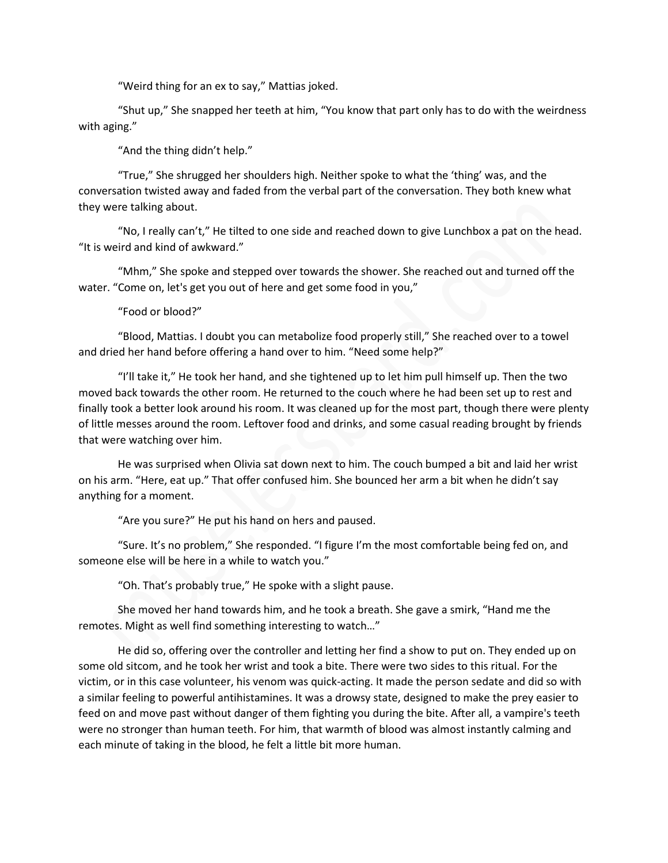"Weird thing for an ex to say," Mattias joked.

"Shut up," She snapped her teeth at him, "You know that part only has to do with the weirdness with aging."

"And the thing didn't help."

"True," She shrugged her shoulders high. Neither spoke to what the 'thing' was, and the conversation twisted away and faded from the verbal part of the conversation. They both knew what they were talking about.

"No, I really can't," He tilted to one side and reached down to give Lunchbox a pat on the head. "It is weird and kind of awkward."

"Mhm," She spoke and stepped over towards the shower. She reached out and turned off the water. "Come on, let's get you out of here and get some food in you,"

"Food or blood?"

"Blood, Mattias. I doubt you can metabolize food properly still," She reached over to a towel and dried her hand before offering a hand over to him. "Need some help?"

"I'll take it," He took her hand, and she tightened up to let him pull himself up. Then the two moved back towards the other room. He returned to the couch where he had been set up to rest and finally took a better look around his room. It was cleaned up for the most part, though there were plenty of little messes around the room. Leftover food and drinks, and some casual reading brought by friends that were watching over him.

He was surprised when Olivia sat down next to him. The couch bumped a bit and laid her wrist on his arm. "Here, eat up." That offer confused him. She bounced her arm a bit when he didn't say anything for a moment.

"Are you sure?" He put his hand on hers and paused.

"Sure. It's no problem," She responded. "I figure I'm the most comfortable being fed on, and someone else will be here in a while to watch you."

"Oh. That's probably true," He spoke with a slight pause.

She moved her hand towards him, and he took a breath. She gave a smirk, "Hand me the remotes. Might as well find something interesting to watch…"

He did so, offering over the controller and letting her find a show to put on. They ended up on some old sitcom, and he took her wrist and took a bite. There were two sides to this ritual. For the victim, or in this case volunteer, his venom was quick-acting. It made the person sedate and did so with a similar feeling to powerful antihistamines. It was a drowsy state, designed to make the prey easier to feed on and move past without danger of them fighting you during the bite. After all, a vampire's teeth were no stronger than human teeth. For him, that warmth of blood was almost instantly calming and each minute of taking in the blood, he felt a little bit more human.